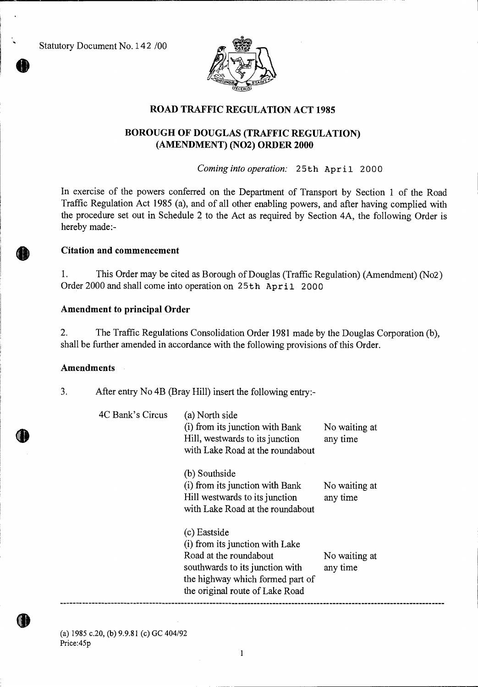Statutory Document No. 142 /00



# **ROAD TRAFFIC REGULATION ACT 1985**

## **BOROUGH OF DOUGLAS (TRAFFIC REGULATION) (AMENDMENT) (NO2) ORDER 2000**

*Coming into operation:* 25th April 2000

In exercise of the powers conferred on the Department of Transport by Section 1 of the Road Traffic Regulation Act 1985 (a), and of all other enabling powers, and after having complied with the procedure set out in Schedule 2 to the Act as required by Section 4A, the following Order is hereby made:-

#### **Citation and commencement**

1. This Order may be cited as Borough of Douglas (Traffic Regulation) (Amendment) (No2) Order 2000 and shall come into operation on 25th April 2000

### **Amendment to principal Order**

2. The Traffic Regulations Consolidation Order 1981 made by the Douglas Corporation (b), shall be further amended in accordance with the following provisions of this Order.

### **Amendments**

3. After entry No 4B (Bray Hill) insert the following entry:-

| 4C Bank's Circus | (a) North side<br>(i) from its junction with Bank<br>Hill, westwards to its junction<br>with Lake Road at the roundabout                                                            | No waiting at<br>any time |
|------------------|-------------------------------------------------------------------------------------------------------------------------------------------------------------------------------------|---------------------------|
|                  | (b) Southside<br>(i) from its junction with Bank<br>Hill westwards to its junction<br>with Lake Road at the roundabout                                                              | No waiting at<br>any time |
|                  | (c) Eastside<br>(i) from its junction with Lake<br>Road at the roundabout<br>southwards to its junction with<br>the highway which formed part of<br>the original route of Lake Road | No waiting at<br>any time |

(a) 1985 c.20, (b) 9.9.81 (c) GC 404/92 Price:45p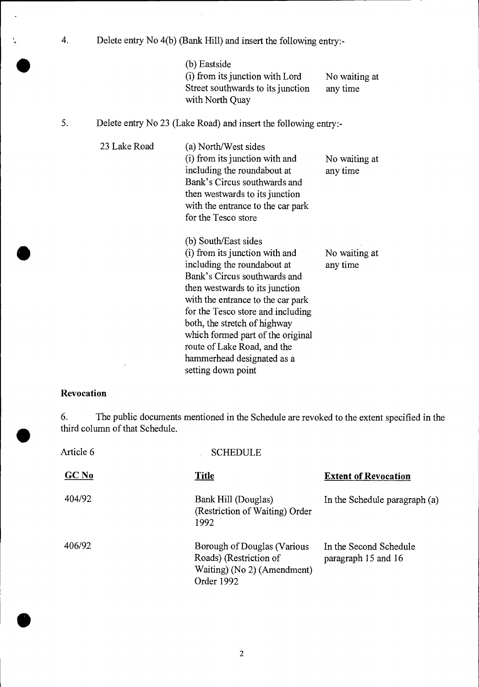4. Delete entry No 4(b) (Bank Hill) and insert the following entry:- (b) Eastside (i) from its junction with Lord No waiting at Street southwards to its junction any time with North Quay

## 5. Delete entry No 23 (Lake Road) and insert the following entry:-

23 Lake Road (a) North/West sides (i) from its junction with and including the roundabout at Bank's Circus southwards and then westwards to its junction with the entrance to the car park for the Tesco store (b) South/East sides (i) from its junction with and including the roundabout at Bank's Circus southwards and then westwards to its junction with the entrance to the car park for the Tesco store and including both, the stretch of highway which formed part of the original route of Lake Road, and the hammerhead designated as a setting down point No waiting at any time No waiting at any time

### **Revocation**

6. The public documents mentioned in the Schedule are revoked to the extent specified in the third column of that Schedule.

| Article 6        | <b>SCHEDULE</b>                                                                                    |                                               |
|------------------|----------------------------------------------------------------------------------------------------|-----------------------------------------------|
| GCN <sub>0</sub> | <b>Title</b>                                                                                       | <b>Extent of Revocation</b>                   |
| 404/92           | Bank Hill (Douglas)<br>(Restriction of Waiting) Order<br>1992                                      | In the Schedule paragraph (a)                 |
| 406/92           | Borough of Douglas (Various<br>Roads) (Restriction of<br>Waiting) (No 2) (Amendment)<br>Order 1992 | In the Second Schedule<br>paragraph 15 and 16 |